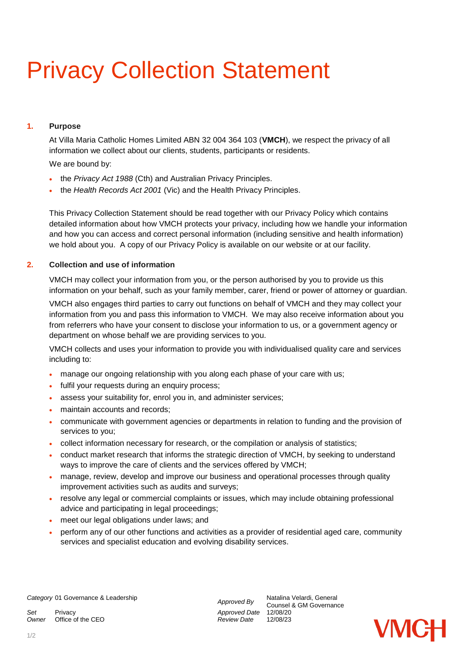# Privacy Collection Statement

## **1. Purpose**

At Villa Maria Catholic Homes Limited ABN 32 004 364 103 (**VMCH**), we respect the privacy of all information we collect about our clients, students, participants or residents.

We are bound by:

- the *Privacy Act 1988* (Cth) and Australian Privacy Principles.
- the *Health Records Act 2001* (Vic) and the Health Privacy Principles.

This Privacy Collection Statement should be read together with our Privacy Policy which contains detailed information about how VMCH protects your privacy, including how we handle your information and how you can access and correct personal information (including sensitive and health information) we hold about you. A copy of our Privacy Policy is available on our website or at our facility.

## **2. Collection and use of information**

VMCH may collect your information from you, or the person authorised by you to provide us this information on your behalf, such as your family member, carer, friend or power of attorney or guardian.

VMCH also engages third parties to carry out functions on behalf of VMCH and they may collect your information from you and pass this information to VMCH. We may also receive information about you from referrers who have your consent to disclose your information to us, or a government agency or department on whose behalf we are providing services to you.

VMCH collects and uses your information to provide you with individualised quality care and services including to:

- manage our ongoing relationship with you along each phase of your care with us;
- fulfil your requests during an enquiry process;
- assess your suitability for, enrol you in, and administer services;
- maintain accounts and records;
- communicate with government agencies or departments in relation to funding and the provision of services to you;
- collect information necessary for research, or the compilation or analysis of statistics;
- conduct market research that informs the strategic direction of VMCH, by seeking to understand ways to improve the care of clients and the services offered by VMCH;
- manage, review, develop and improve our business and operational processes through quality improvement activities such as audits and surveys;
- resolve any legal or commercial complaints or issues, which may include obtaining professional advice and participating in legal proceedings;
- meet our legal obligations under laws; and
- perform any of our other functions and activities as a provider of residential aged care, community services and specialist education and evolving disability services.

*Set* Privacy *Approved Date* 12/08/20 *Owner* Office of the CEO

Counsel & GM Governance